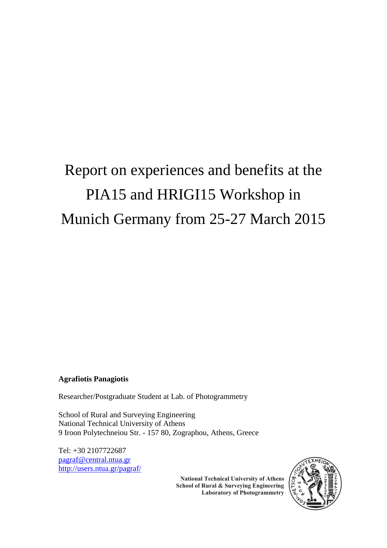## Report on experiences and benefits at the PIA15 and HRIGI15 Workshop in Munich Germany from 25-27 March 2015

## **Agrafiotis Panagiotis**

Researcher/Postgraduate Student at Lab. of Photogrammetry

School of Rural and Surveying Engineering National Technical University of Athens 9 Iroon Polytechneiou Str. - 157 80, Zographou, Athens, Greece

Tel: +30 2107722687 [pagraf@central.ntua.gr](mailto:pagraf@central.ntua.gr) <http://users.ntua.gr/pagraf/>



**National Technical University of Athens** School of Rural & Surveying Engineering **Laboratory of Photogrammetry**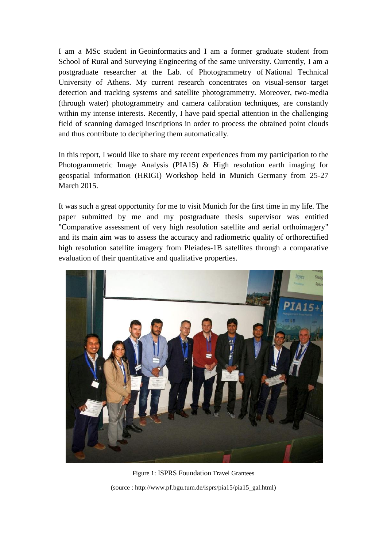I am a MSc student in [Geoinformatics](http://geoinformatics.ntua.gr/) and I am a former graduate student from School of Rural and Surveying Engineering of the same university. Currently, I am a postgraduate researcher at the Lab. of Photogrammetry of [National Technical](http://www.ntua.gr/index_en.html)  [University of Athens.](http://www.ntua.gr/index_en.html) My current research concentrates on visual-sensor target detection and tracking systems and satellite photogrammetry. Moreover, two-media (through water) photogrammetry and camera calibration techniques, are constantly within my intense interests. Recently, I have paid special attention in the challenging field of scanning damaged inscriptions in order to process the obtained point clouds and thus contribute to deciphering them automatically.

In this report, I would like to share my recent experiences from my participation to the Photogrammetric Image Analysis (PIA15) & High resolution earth imaging for geospatial information (HRIGI) Workshop held in Munich Germany from 25-27 March 2015.

It was such a great opportunity for me to visit Munich for the first time in my life. The paper submitted by me and my postgraduate thesis supervisor was entitled ["Comparative assessment of very high resolution satellite and aerial orthoimagery"](http://www.int-arch-photogramm-remote-sens-spatial-inf-sci.net/XL-3-W2/1/2015/isprsarchives-XL-3-W2-1-2015.pdf) and its main aim was to assess the accuracy and radiometric quality of orthorectified high resolution satellite imagery from Pleiades-1B satellites through a comparative evaluation of their quantitative and qualitative properties.



Figure 1: ISPRS Foundation Travel Grantees (source : http://www.pf.bgu.tum.de/isprs/pia15/pia15\_gal.html)